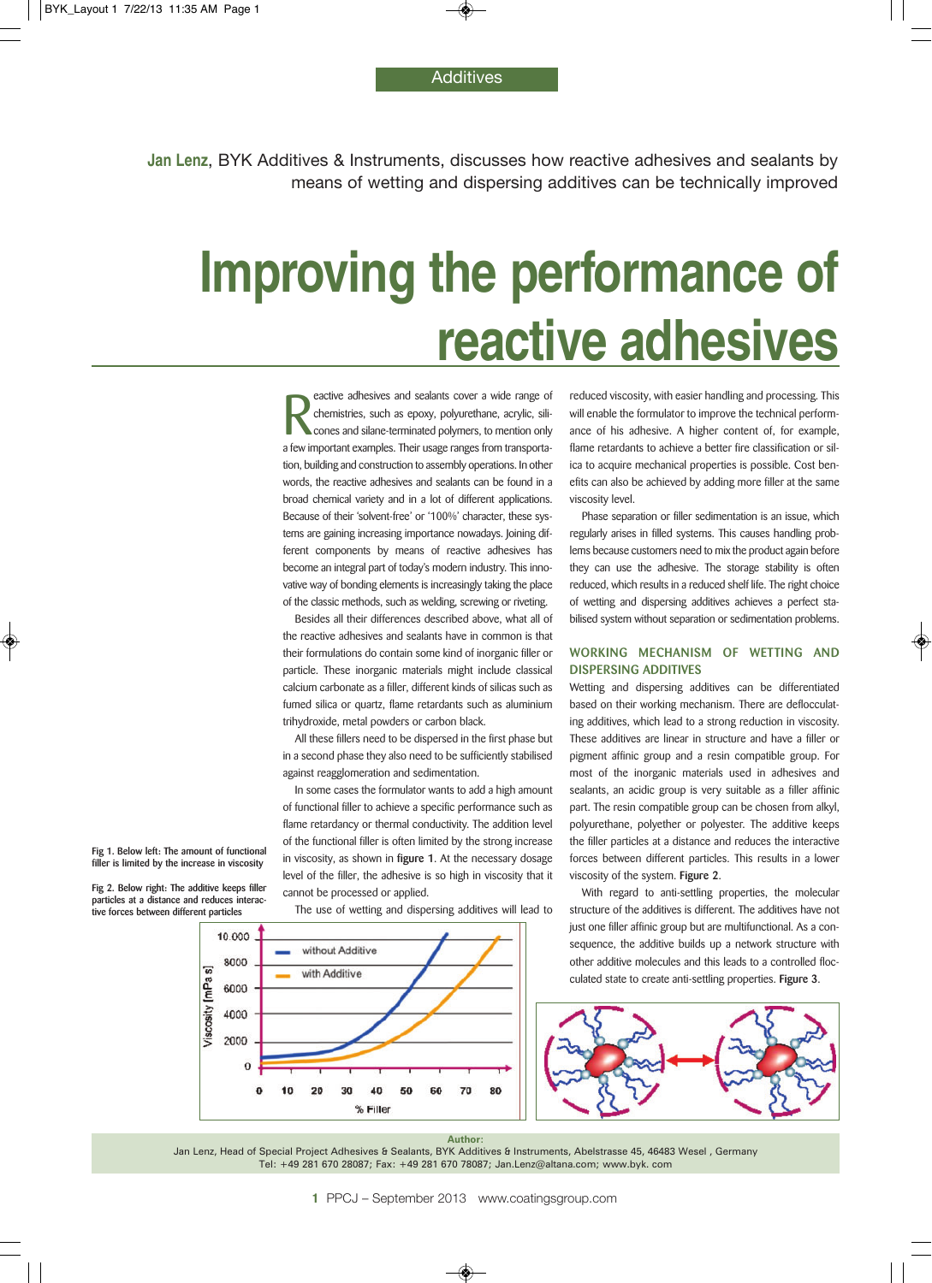**Additives** 

**Jan Lenz**, BYK Additives & Instruments, discusses how reactive adhesives and sealants by means of wetting and dispersing additives can be technically improved

# **Improving the performance of reactive adhesives**

**Example a** feature adhesives and sealants cover a wide range of chemistries, such as epoxy, polyurethane, acrylic, silicones and silane-terminated polymers, to mention only a few important examples. Their usage ranges fro eactive adhesives and sealants cover a wide range of chemistries, such as epoxy, polyurethane, acrylic, silicones and silane-terminated polymers, to mention only tion, building and construction to assembly operations. In other words, the reactive adhesives and sealants can be found in a broad chemical variety and in a lot of different applications. Because of their 'solvent-free' or '100%' character, these systems are gaining increasing importance nowadays. Joining different components by means of reactive adhesives has become an integral part of today's modern industry. This innovative way of bonding elements is increasingly taking the place of the classic methods, such as welding, screwing or riveting.

Besides all their differences described above, what all of the reactive adhesives and sealants have in common is that their formulations do contain some kind of inorganic filler or particle. These inorganic materials might include classical calcium carbonate as a filler, different kinds of silicas such as fumed silica or quartz, flame retardants such as aluminium trihydroxide, metal powders or carbon black.

All these fillers need to be dispersed in the first phase but in a second phase they also need to be sufficiently stabilised against reagglomeration and sedimentation.

In some cases the formulator wants to add a high amount of functional filler to achieve a specific performance such as flame retardancy or thermal conductivity. The addition level of the functional filler is often limited by the strong increase in viscosity, as shown in **figure 1**. At the necessary dosage level of the filler, the adhesive is so high in viscosity that it cannot be processed or applied.

The use of wetting and dispersing additives will lead to

50

60

without Additive

with Additive

10

20

30 40

% Filler

reduced viscosity, with easier handling and processing. This will enable the formulator to improve the technical performance of his adhesive. A higher content of, for example, flame retardants to achieve a better fire classification or silica to acquire mechanical properties is possible. Cost benefits can also be achieved by adding more filler at the same viscosity level.

Phase separation or filler sedimentation is an issue, which regularly arises in filled systems. This causes handling problems because customers need to mix the product again before they can use the adhesive. The storage stability is often reduced, which results in a reduced shelf life. The right choice of wetting and dispersing additives achieves a perfect stabilised system without separation or sedimentation problems.

## **WORKING MECHANISM OF WETTING AND DISPERSING ADDITIVES**

Wetting and dispersing additives can be differentiated based on their working mechanism. There are deflocculating additives, which lead to a strong reduction in viscosity. These additives are linear in structure and have a filler or pigment affinic group and a resin compatible group. For most of the inorganic materials used in adhesives and sealants, an acidic group is very suitable as a filler affinic part. The resin compatible group can be chosen from alkyl, polyurethane, polyether or polyester. The additive keeps the filler particles at a distance and reduces the interactive forces between different particles. This results in a lower viscosity of the system. **Figure 2**.

With regard to anti-settling properties, the molecular structure of the additives is different. The additives have not just one filler affinic group but are multifunctional. As a consequence, the additive builds up a network structure with other additive molecules and this leads to a controlled flocculated state to create anti-settling properties. **Figure 3**.



#### **Author:**

70

80

Jan Lenz, Head of Special Project Adhesives & Sealants, BYK Additives & Instruments, Abelstrasse 45, 46483 Wesel, Germany Tel: +49 281 670 28087; Fax: +49 281 670 78087; Jan.Lenz@altana.com; www.byk. com

**1** PPCJ – September 2013 www.coatingsgroup.com

**Fig 1. Below left: The amount of functional filler is limited by the increase in viscosity**

**Fig 2. Below right: The additive keeps filler particles at a distance and reduces interactive forces between different particles**

10.000

8000

6000 4000 2000  $\overline{0}$  $\bf{0}$ 

Viscosity [mPa s]

◈